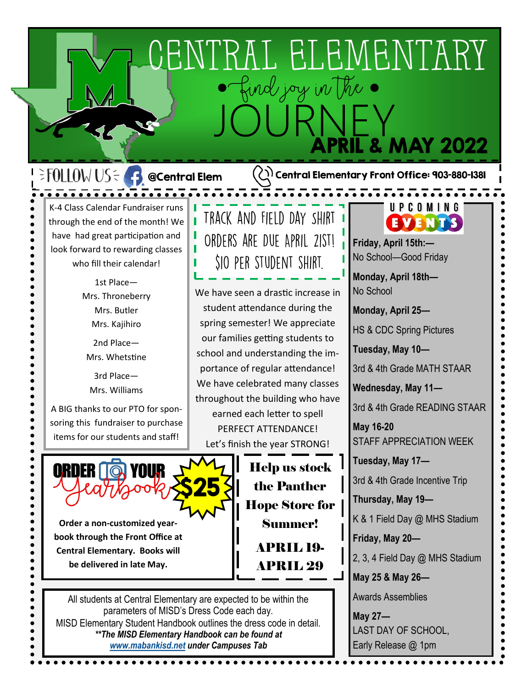## CENTRAL ELEMENTARY ●Find joy in the ● JOURNEY **L & MAY 2022**

## $\exists$  FOLLOW US $\leq$  + @Central Elem K-4 Class Calendar Fundraiser runs

through the end of the month! We have had great participation and look forward to rewarding classes who fill their calendar!

I

**As a** new semangled between the students will be constructed by the semant of the students will be considered by  $\frac{1}{2}$ Mrs. Throneberry Mrs. Butler Mrs. Kajihiro

**progress in reading and Place—** Mrs. Whetstine

> 3rd Place— Mrs. Williams

A BIG thanks to our PTO for sponsoring this fundraiser to purchase items for our students and staff!



**Order a non-customized yearbook through the Front Office at Central Elementary. Books will be delivered in late May.** 

All students at Central Elementary are expected to be within the parameters of MISD's Dress Code each day. MISD Elementary Student Handbook outlines the dress code in detail. *\*\*The MISD Elementary Handbook can be found at [www.mabankisd.net](http://www.mabankisd.net) under Campuses Tab*

## TRACK AND FIELD DAY SHIRT ORDERS ARE DUE APRIL 21ST! **SIO PER STUDENT SHIRT.**

**Leapel and Solution II We have seen a drastic increase in goals** M-4 M-4 M-4 M-4 M-4 M-4 M-4 Teachers attendance during the **and the student attendance during the Assessment Contract Team** is the spring semester! We appreciate our families getting students to school and understanding the importance of regular attendance! We have celebrated many classes throughout the building who have earned each letter to spell PERFECT ATTENDANCE! Let's finish the year STRONG!

> Help us stock the Panther Hope Store for Summer! APRIL 19- APRIL 29

## UPCOMING EVENTS

**Friday, April 15th:—** No School—Good Friday

**Monday, April 18th—** No School

 $(\lang)$  Central Elementary Front Office: 903-880-1381

**Monday, April 25—**

HS & CDC Spring Pictures

**Tuesday, May 10—**

3rd & 4th Grade MATH STAAR

**Wednesday, May 11—**

3rd & 4th Grade READING STAAR

**May 16-20**  STAFF APPRECIATION WEEK

**Tuesday, May 17—** 3rd & 4th Grade Incentive Trip

**Thursday, May 19—**

K & 1 Field Day @ MHS Stadium

**Friday, May 20—**

2, 3, 4 Field Day @ MHS Stadium

**May 25 & May 26—**

Awards Assemblies

**May 27—** LAST DAY OF SCHOOL, Early Release @ 1pm